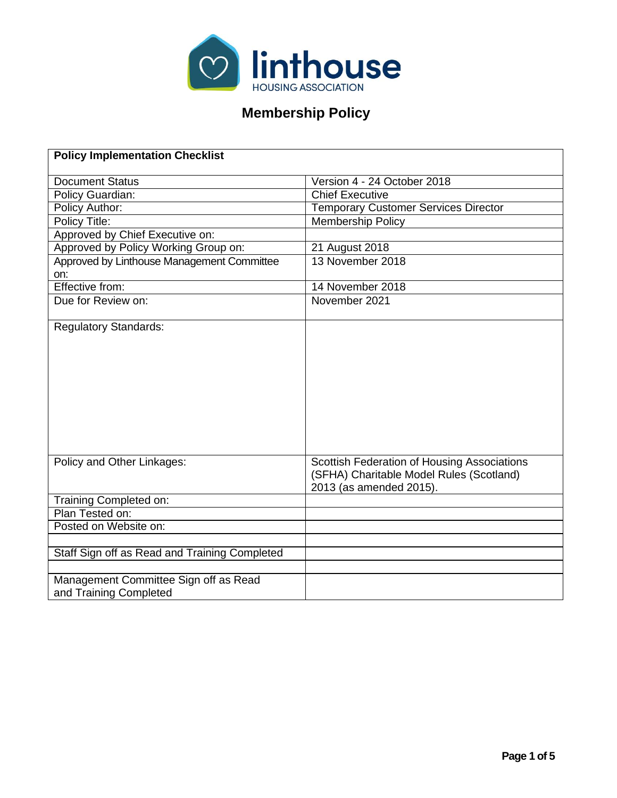

# **Membership Policy**

| <b>Policy Implementation Checklist</b>                          |                                                                                                                    |
|-----------------------------------------------------------------|--------------------------------------------------------------------------------------------------------------------|
|                                                                 |                                                                                                                    |
| <b>Document Status</b>                                          | Version 4 - 24 October 2018<br><b>Chief Executive</b>                                                              |
| <b>Policy Guardian:</b>                                         |                                                                                                                    |
| Policy Author:                                                  | <b>Temporary Customer Services Director</b>                                                                        |
| Policy Title:                                                   | <b>Membership Policy</b>                                                                                           |
| Approved by Chief Executive on:                                 |                                                                                                                    |
| Approved by Policy Working Group on:                            | 21 August 2018                                                                                                     |
| Approved by Linthouse Management Committee<br>on:               | 13 November 2018                                                                                                   |
| Effective from:                                                 | 14 November 2018                                                                                                   |
| Due for Review on:                                              | November 2021                                                                                                      |
| <b>Regulatory Standards:</b>                                    |                                                                                                                    |
| Policy and Other Linkages:                                      | Scottish Federation of Housing Associations<br>(SFHA) Charitable Model Rules (Scotland)<br>2013 (as amended 2015). |
| Training Completed on:                                          |                                                                                                                    |
| Plan Tested on:                                                 |                                                                                                                    |
| Posted on Website on:                                           |                                                                                                                    |
|                                                                 |                                                                                                                    |
| Staff Sign off as Read and Training Completed                   |                                                                                                                    |
|                                                                 |                                                                                                                    |
| Management Committee Sign off as Read<br>and Training Completed |                                                                                                                    |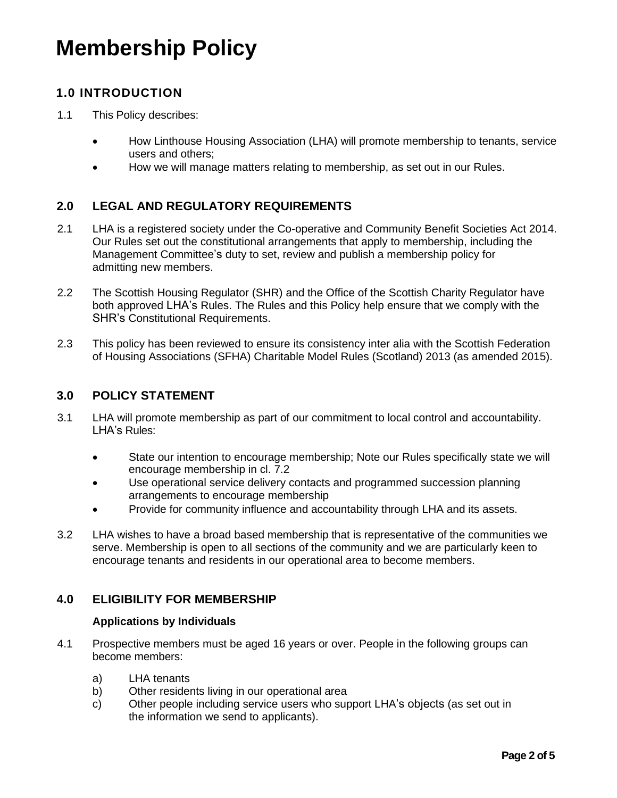# **Membership Policy**

# **1.0 INTRODUCTION**

- 1.1 This Policy describes:
	- How Linthouse Housing Association (LHA) will promote membership to tenants, service users and others;
	- How we will manage matters relating to membership, as set out in our Rules.

# **2.0 LEGAL AND REGULATORY REQUIREMENTS**

- 2.1 LHA is a registered society under the Co-operative and Community Benefit Societies Act 2014. Our Rules set out the constitutional arrangements that apply to membership, including the Management Committee's duty to set, review and publish a membership policy for admitting new members.
- 2.2 The Scottish Housing Regulator (SHR) and the Office of the Scottish Charity Regulator have both approved LHA's Rules. The Rules and this Policy help ensure that we comply with the SHR's Constitutional Requirements.
- 2.3 This policy has been reviewed to ensure its consistency inter alia with the Scottish Federation of Housing Associations (SFHA) Charitable Model Rules (Scotland) 2013 (as amended 2015).

#### **3.0 POLICY STATEMENT**

- 3.1 LHA will promote membership as part of our commitment to local control and accountability. LHA's Rules:
	- State our intention to encourage membership; Note our Rules specifically state we will encourage membership in cl. 7.2
	- Use operational service delivery contacts and programmed succession planning arrangements to encourage membership
	- Provide for community influence and accountability through LHA and its assets.
- 3.2 LHA wishes to have a broad based membership that is representative of the communities we serve. Membership is open to all sections of the community and we are particularly keen to encourage tenants and residents in our operational area to become members.

#### **4.0 ELIGIBILITY FOR MEMBERSHIP**

#### **Applications by Individuals**

- 4.1 Prospective members must be aged 16 years or over. People in the following groups can become members:
	- a) LHA tenants
	- b) Other residents living in our operational area
	- c) Other people including service users who support LHA's objects (as set out in the information we send to applicants).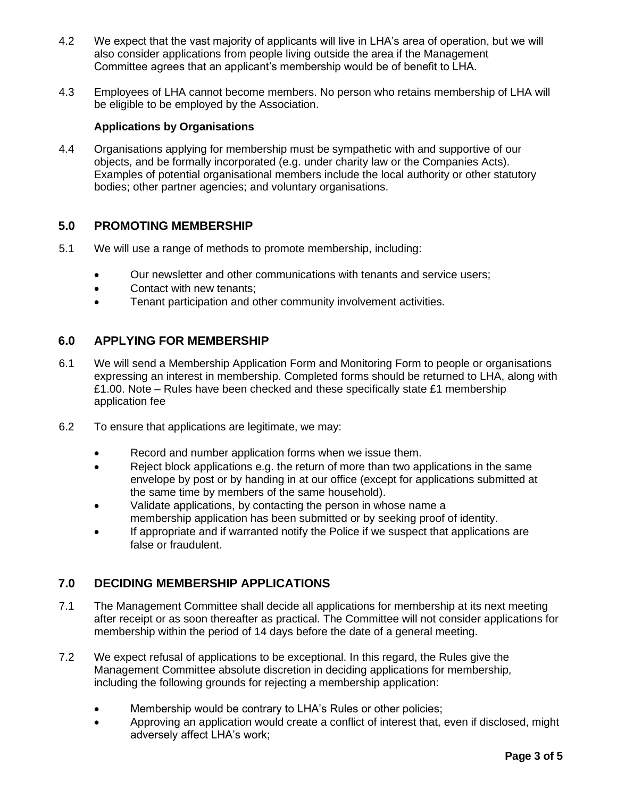- 4.2 We expect that the vast majority of applicants will live in LHA's area of operation, but we will also consider applications from people living outside the area if the Management Committee agrees that an applicant's membership would be of benefit to LHA.
- 4.3 Employees of LHA cannot become members. No person who retains membership of LHA will be eligible to be employed by the Association.

#### **Applications by Organisations**

4.4 Organisations applying for membership must be sympathetic with and supportive of our objects, and be formally incorporated (e.g. under charity law or the Companies Acts). Examples of potential organisational members include the local authority or other statutory bodies; other partner agencies; and voluntary organisations.

#### **5.0 PROMOTING MEMBERSHIP**

- 5.1 We will use a range of methods to promote membership, including:
	- Our newsletter and other communications with tenants and service users;
	- Contact with new tenants;
	- Tenant participation and other community involvement activities.

# **6.0 APPLYING FOR MEMBERSHIP**

- 6.1 We will send a Membership Application Form and Monitoring Form to people or organisations expressing an interest in membership. Completed forms should be returned to LHA, along with £1.00. Note – Rules have been checked and these specifically state £1 membership application fee
- 6.2 To ensure that applications are legitimate, we may:
	- Record and number application forms when we issue them.
	- Reject block applications e.g. the return of more than two applications in the same envelope by post or by handing in at our office (except for applications submitted at the same time by members of the same household).
	- Validate applications, by contacting the person in whose name a membership application has been submitted or by seeking proof of identity.
	- If appropriate and if warranted notify the Police if we suspect that applications are false or fraudulent.

# **7.0 DECIDING MEMBERSHIP APPLICATIONS**

- 7.1 The Management Committee shall decide all applications for membership at its next meeting after receipt or as soon thereafter as practical. The Committee will not consider applications for membership within the period of 14 days before the date of a general meeting.
- 7.2 We expect refusal of applications to be exceptional. In this regard, the Rules give the Management Committee absolute discretion in deciding applications for membership, including the following grounds for rejecting a membership application:
	- Membership would be contrary to LHA's Rules or other policies;
	- Approving an application would create a conflict of interest that, even if disclosed, might adversely affect LHA's work;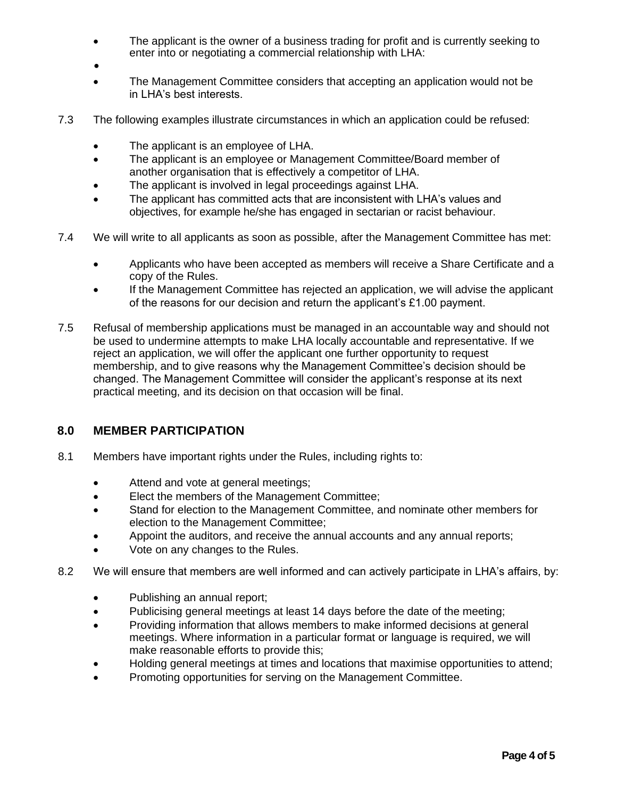- The applicant is the owner of a business trading for profit and is currently seeking to enter into or negotiating a commercial relationship with LHA:
- •
- The Management Committee considers that accepting an application would not be in LHA's best interests.
- 7.3 The following examples illustrate circumstances in which an application could be refused:
	- The applicant is an employee of LHA.
	- The applicant is an employee or Management Committee/Board member of another organisation that is effectively a competitor of LHA.
	- The applicant is involved in legal proceedings against LHA.
	- The applicant has committed acts that are inconsistent with LHA's values and objectives, for example he/she has engaged in sectarian or racist behaviour.
- 7.4 We will write to all applicants as soon as possible, after the Management Committee has met:
	- Applicants who have been accepted as members will receive a Share Certificate and a copy of the Rules.
	- If the Management Committee has rejected an application, we will advise the applicant of the reasons for our decision and return the applicant's £1.00 payment.
- 7.5 Refusal of membership applications must be managed in an accountable way and should not be used to undermine attempts to make LHA locally accountable and representative. If we reject an application, we will offer the applicant one further opportunity to request membership, and to give reasons why the Management Committee's decision should be changed. The Management Committee will consider the applicant's response at its next practical meeting, and its decision on that occasion will be final.

#### **8.0 MEMBER PARTICIPATION**

- 8.1 Members have important rights under the Rules, including rights to:
	- Attend and vote at general meetings;
	- Elect the members of the Management Committee;
	- Stand for election to the Management Committee, and nominate other members for election to the Management Committee;
	- Appoint the auditors, and receive the annual accounts and any annual reports;
	- Vote on any changes to the Rules.
- 8.2 We will ensure that members are well informed and can actively participate in LHA's affairs, by:
	- Publishing an annual report;
	- Publicising general meetings at least 14 days before the date of the meeting;
	- Providing information that allows members to make informed decisions at general meetings. Where information in a particular format or language is required, we will make reasonable efforts to provide this;
	- Holding general meetings at times and locations that maximise opportunities to attend;
	- Promoting opportunities for serving on the Management Committee.